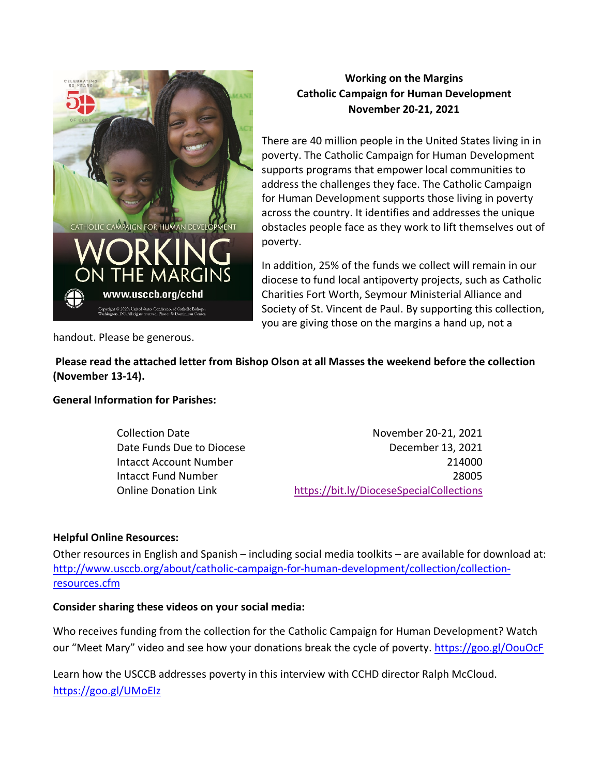

# **Working on the Margins Catholic Campaign for Human Development November 20-21, 2021**

There are 40 million people in the United States living in in poverty. The Catholic Campaign for Human Development supports programs that empower local communities to address the challenges they face. The Catholic Campaign for Human Development supports those living in poverty across the country. It identifies and addresses the unique obstacles people face as they work to lift themselves out of poverty.

In addition, 25% of the funds we collect will remain in our diocese to fund local antipoverty projects, such as Catholic Charities Fort Worth, Seymour Ministerial Alliance and Society of St. Vincent de Paul. By supporting this collection, you are giving those on the margins a hand up, not a

handout. Please be generous.

**Please read the attached letter from Bishop Olson at all Masses the weekend before the collection (November 13-14).**

**General Information for Parishes:**

Collection Date November 20-21, 2021 Date Funds Due to Diocese December 13, 2021 Intacct Account Number 214000 Intacct Fund Number 28005 Online Donation Link <https://bit.ly/DioceseSpecialCollections>

## **Helpful Online Resources:**

Other resources in English and Spanish – including social media toolkits – are available for download at: [http://www.usccb.org/about/catholic-campaign-for-human-development/collection/collection](http://www.usccb.org/about/catholic-campaign-for-human-development/collection/collection-resources.cfm)[resources.cfm](http://www.usccb.org/about/catholic-campaign-for-human-development/collection/collection-resources.cfm)

## **Consider sharing these videos on your social media:**

Who receives funding from the collection for the Catholic Campaign for Human Development? Watch our "Meet Mary" video and see how your donations break the cycle of poverty.<https://goo.gl/OouOcF>

Learn how the USCCB addresses poverty in this interview with CCHD director Ralph McCloud. <https://goo.gl/UMoEIz>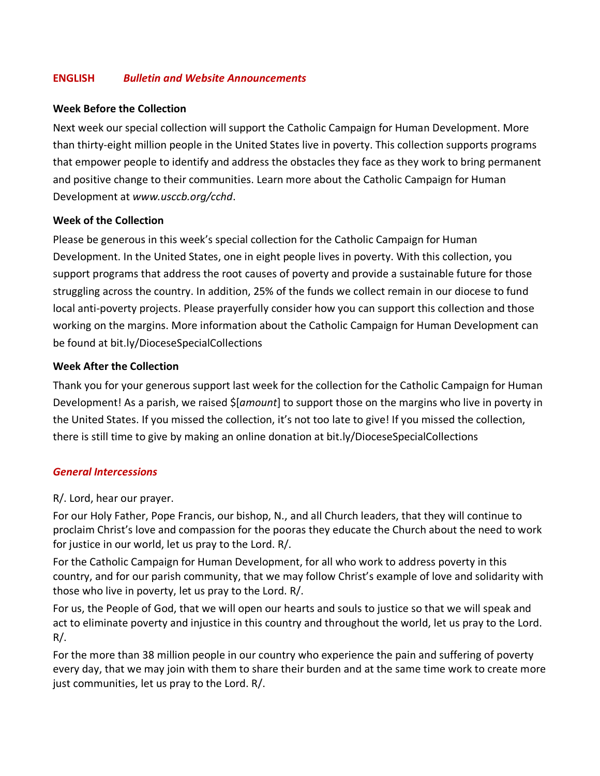## **ENGLISH** *Bulletin and Website Announcements*

#### **Week Before the Collection**

Next week our special collection will support the Catholic Campaign for Human Development. More than thirty-eight million people in the United States live in poverty. This collection supports programs that empower people to identify and address the obstacles they face as they work to bring permanent and positive change to their communities. Learn more about the Catholic Campaign for Human Development at *www.usccb.org/cchd*.

## **Week of the Collection**

Please be generous in this week's special collection for the Catholic Campaign for Human Development. In the United States, one in eight people lives in poverty. With this collection, you support programs that address the root causes of poverty and provide a sustainable future for those struggling across the country. In addition, 25% of the funds we collect remain in our diocese to fund local anti-poverty projects. Please prayerfully consider how you can support this collection and those working on the margins. More information about the Catholic Campaign for Human Development can be found at bit.ly/DioceseSpecialCollections

#### **Week After the Collection**

Thank you for your generous support last week for the collection for the Catholic Campaign for Human Development! As a parish, we raised \$[*amount*] to support those on the margins who live in poverty in the United States. If you missed the collection, it's not too late to give! If you missed the collection, there is still time to give by making an online donation at bit.ly/DioceseSpecialCollections

## *General Intercessions*

#### R/. Lord, hear our prayer.

For our Holy Father, Pope Francis, our bishop, N., and all Church leaders, that they will continue to proclaim Christ's love and compassion for the pooras they educate the Church about the need to work for justice in our world, let us pray to the Lord. R/.

For the Catholic Campaign for Human Development, for all who work to address poverty in this country, and for our parish community, that we may follow Christ's example of love and solidarity with those who live in poverty, let us pray to the Lord. R/.

For us, the People of God, that we will open our hearts and souls to justice so that we will speak and act to eliminate poverty and injustice in this country and throughout the world, let us pray to the Lord. R/.

For the more than 38 million people in our country who experience the pain and suffering of poverty every day, that we may join with them to share their burden and at the same time work to create more just communities, let us pray to the Lord. R/.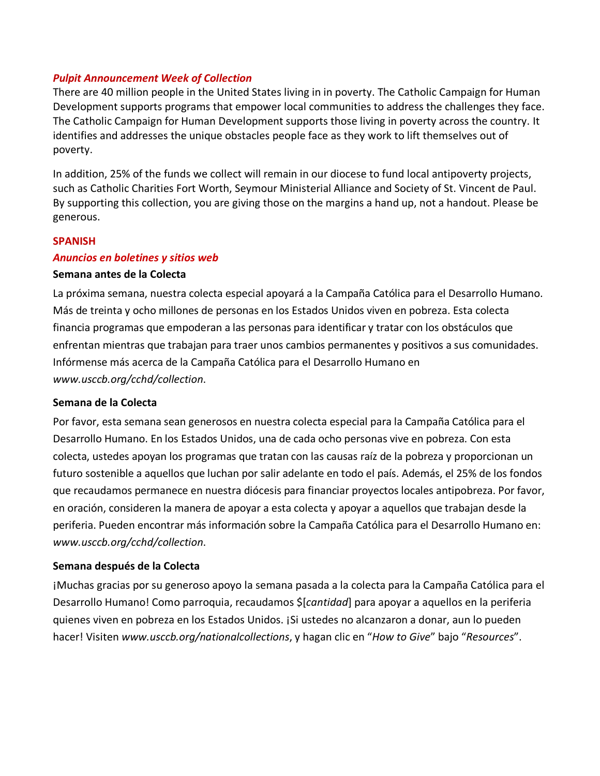#### *Pulpit Announcement Week of Collection*

There are 40 million people in the United States living in in poverty. The Catholic Campaign for Human Development supports programs that empower local communities to address the challenges they face. The Catholic Campaign for Human Development supports those living in poverty across the country. It identifies and addresses the unique obstacles people face as they work to lift themselves out of poverty.

In addition, 25% of the funds we collect will remain in our diocese to fund local antipoverty projects, such as Catholic Charities Fort Worth, Seymour Ministerial Alliance and Society of St. Vincent de Paul. By supporting this collection, you are giving those on the margins a hand up, not a handout. Please be generous.

#### **SPANISH**

#### *Anuncios en boletines y sitios web*

#### **Semana antes de la Colecta**

La próxima semana, nuestra colecta especial apoyará a la Campaña Católica para el Desarrollo Humano. Más de treinta y ocho millones de personas en los Estados Unidos viven en pobreza. Esta colecta financia programas que empoderan a las personas para identificar y tratar con los obstáculos que enfrentan mientras que trabajan para traer unos cambios permanentes y positivos a sus comunidades. Infórmense más acerca de la Campaña Católica para el Desarrollo Humano en *www.usccb.org/cchd/collection*.

## **Semana de la Colecta**

Por favor, esta semana sean generosos en nuestra colecta especial para la Campaña Católica para el Desarrollo Humano. En los Estados Unidos, una de cada ocho personas vive en pobreza. Con esta colecta, ustedes apoyan los programas que tratan con las causas raíz de la pobreza y proporcionan un futuro sostenible a aquellos que luchan por salir adelante en todo el país. Además, el 25% de los fondos que recaudamos permanece en nuestra diócesis para financiar proyectos locales antipobreza. Por favor, en oración, consideren la manera de apoyar a esta colecta y apoyar a aquellos que trabajan desde la periferia. Pueden encontrar más información sobre la Campaña Católica para el Desarrollo Humano en: *www.usccb.org/cchd/collection*.

## **Semana después de la Colecta**

¡Muchas gracias por su generoso apoyo la semana pasada a la colecta para la Campaña Católica para el Desarrollo Humano! Como parroquia, recaudamos \$[*cantidad*] para apoyar a aquellos en la periferia quienes viven en pobreza en los Estados Unidos. ¡Si ustedes no alcanzaron a donar, aun lo pueden hacer! Visiten *www.usccb.org/nationalcollections*, y hagan clic en "*How to Give*" bajo "*Resources*".